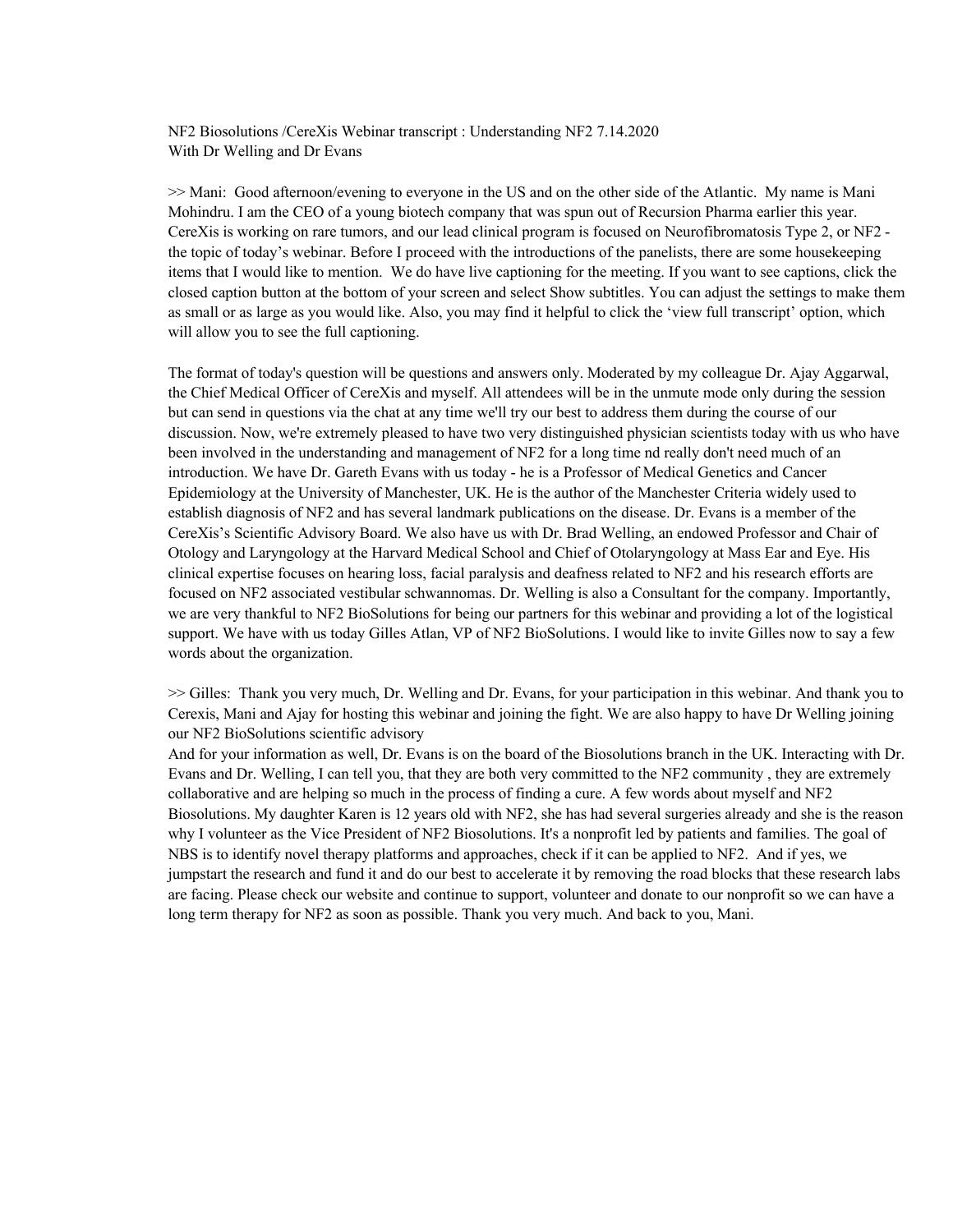NF2 Biosolutions /CereXis Webinar transcript : Understanding NF2 7.14.2020 With Dr Welling and Dr Evans

>> Mani: Good afternoon/evening to everyone in the US and on the other side of the Atlantic. My name is Mani Mohindru. I am the CEO of a young biotech company that was spun out of Recursion Pharma earlier this year. CereXis is working on rare tumors, and our lead clinical program is focused on Neurofibromatosis Type 2, or NF2 the topic of today's webinar. Before I proceed with the introductions of the panelists, there are some housekeeping items that I would like to mention. We do have live captioning for the meeting. If you want to see captions, click the closed caption button at the bottom of your screen and select Show subtitles. You can adjust the settings to make them as small or as large as you would like. Also, you may find it helpful to click the 'view full transcript' option, which will allow you to see the full captioning.

The format of today's question will be questions and answers only. Moderated by my colleague Dr. Ajay Aggarwal, the Chief Medical Officer of CereXis and myself. All attendees will be in the unmute mode only during the session but can send in questions via the chat at any time we'll try our best to address them during the course of our discussion. Now, we're extremely pleased to have two very distinguished physician scientists today with us who have been involved in the understanding and management of NF2 for a long time nd really don't need much of an introduction. We have Dr. Gareth Evans with us today - he is a Professor of Medical Genetics and Cancer Epidemiology at the University of Manchester, UK. He is the author of the Manchester Criteria widely used to establish diagnosis of NF2 and has several landmark publications on the disease. Dr. Evans is a member of the CereXis's Scientific Advisory Board. We also have us with Dr. Brad Welling, an endowed Professor and Chair of Otology and Laryngology at the Harvard Medical School and Chief of Otolaryngology at Mass Ear and Eye. His clinical expertise focuses on hearing loss, facial paralysis and deafness related to NF2 and his research efforts are focused on NF2 associated vestibular schwannomas. Dr. Welling is also a Consultant for the company. Importantly, we are very thankful to NF2 BioSolutions for being our partners for this webinar and providing a lot of the logistical support. We have with us today Gilles Atlan, VP of NF2 BioSolutions. I would like to invite Gilles now to say a few words about the organization.

>> Gilles: Thank you very much, Dr. Welling and Dr. Evans, for your participation in this webinar. And thank you to Cerexis, Mani and Ajay for hosting this webinar and joining the fight. We are also happy to have Dr Welling joining our NF2 BioSolutions scientific advisory

And for your information as well, Dr. Evans is on the board of the Biosolutions branch in the UK. Interacting with Dr. Evans and Dr. Welling, I can tell you, that they are both very committed to the NF2 community , they are extremely collaborative and are helping so much in the process of finding a cure. A few words about myself and NF2 Biosolutions. My daughter Karen is 12 years old with NF2, she has had several surgeries already and she is the reason why I volunteer as the Vice President of NF2 Biosolutions. It's a nonprofit led by patients and families. The goal of NBS is to identify novel therapy platforms and approaches, check if it can be applied to NF2. And if yes, we jumpstart the research and fund it and do our best to accelerate it by removing the road blocks that these research labs are facing. Please check our website and continue to support, volunteer and donate to our nonprofit so we can have a long term therapy for NF2 as soon as possible. Thank you very much. And back to you, Mani.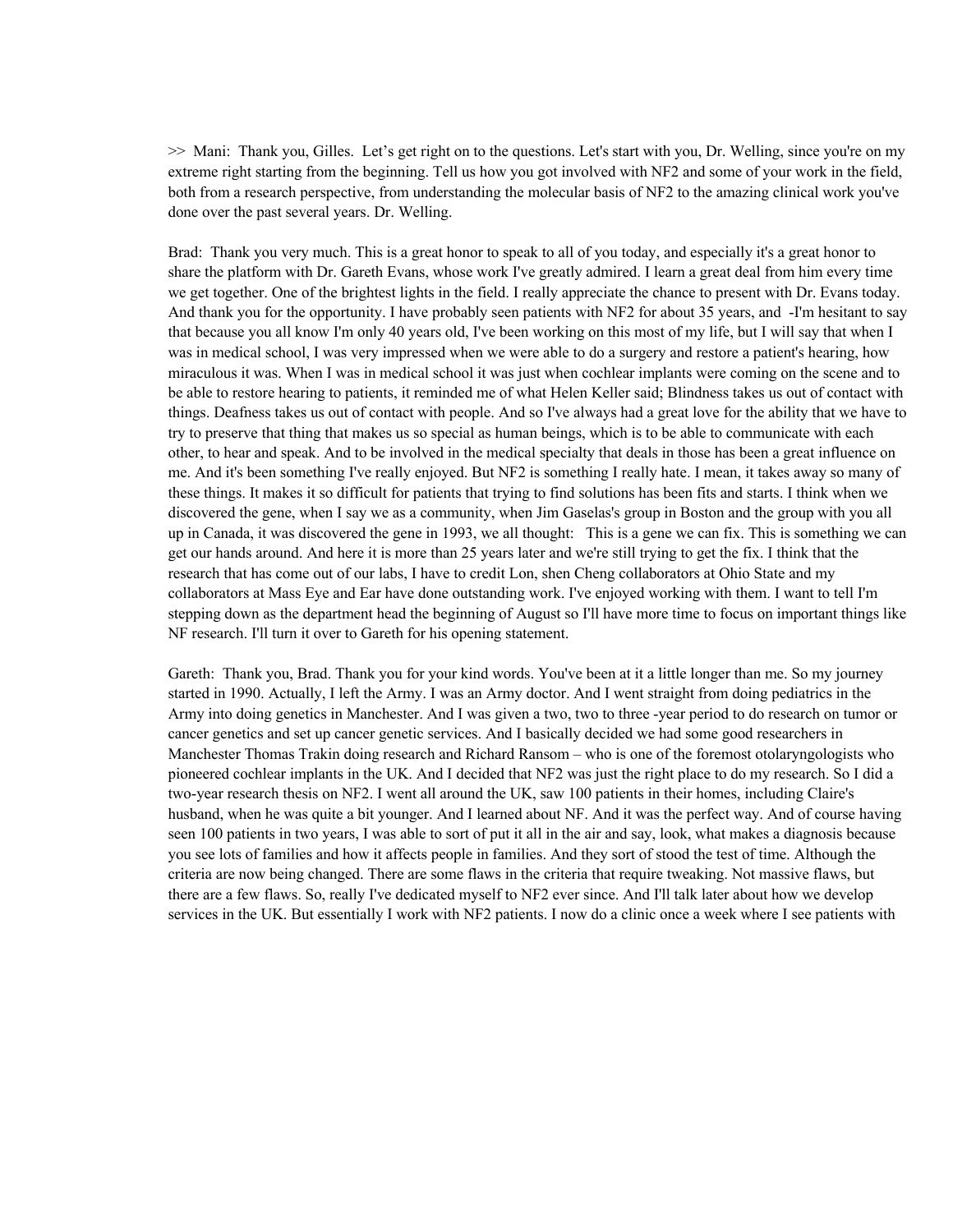>> Mani: Thank you, Gilles. Let's get right on to the questions. Let's start with you, Dr. Welling, since you're on my extreme right starting from the beginning. Tell us how you got involved with NF2 and some of your work in the field, both from a research perspective, from understanding the molecular basis of NF2 to the amazing clinical work you've done over the past several years. Dr. Welling.

Brad: Thank you very much. This is a great honor to speak to all of you today, and especially it's a great honor to share the platform with Dr. Gareth Evans, whose work I've greatly admired. I learn a great deal from him every time we get together. One of the brightest lights in the field. I really appreciate the chance to present with Dr. Evans today. And thank you for the opportunity. I have probably seen patients with NF2 for about 35 years, and -I'm hesitant to say that because you all know I'm only 40 years old, I've been working on this most of my life, but I will say that when I was in medical school, I was very impressed when we were able to do a surgery and restore a patient's hearing, how miraculous it was. When I was in medical school it was just when cochlear implants were coming on the scene and to be able to restore hearing to patients, it reminded me of what Helen Keller said; Blindness takes us out of contact with things. Deafness takes us out of contact with people. And so I've always had a great love for the ability that we have to try to preserve that thing that makes us so special as human beings, which is to be able to communicate with each other, to hear and speak. And to be involved in the medical specialty that deals in those has been a great influence on me. And it's been something I've really enjoyed. But NF2 is something I really hate. I mean, it takes away so many of these things. It makes it so difficult for patients that trying to find solutions has been fits and starts. I think when we discovered the gene, when I say we as a community, when Jim Gaselas's group in Boston and the group with you all up in Canada, it was discovered the gene in 1993, we all thought: This is a gene we can fix. This is something we can get our hands around. And here it is more than 25 years later and we're still trying to get the fix. I think that the research that has come out of our labs, I have to credit Lon, shen Cheng collaborators at Ohio State and my collaborators at Mass Eye and Ear have done outstanding work. I've enjoyed working with them. I want to tell I'm stepping down as the department head the beginning of August so I'll have more time to focus on important things like NF research. I'll turn it over to Gareth for his opening statement.

Gareth: Thank you, Brad. Thank you for your kind words. You've been at it a little longer than me. So my journey started in 1990. Actually, I left the Army. I was an Army doctor. And I went straight from doing pediatrics in the Army into doing genetics in Manchester. And I was given a two, two to three -year period to do research on tumor or cancer genetics and set up cancer genetic services. And I basically decided we had some good researchers in Manchester Thomas Trakin doing research and Richard Ransom – who is one of the foremost otolaryngologists who pioneered cochlear implants in the UK. And I decided that NF2 was just the right place to do my research. So I did a two-year research thesis on NF2. I went all around the UK, saw 100 patients in their homes, including Claire's husband, when he was quite a bit younger. And I learned about NF. And it was the perfect way. And of course having seen 100 patients in two years, I was able to sort of put it all in the air and say, look, what makes a diagnosis because you see lots of families and how it affects people in families. And they sort of stood the test of time. Although the criteria are now being changed. There are some flaws in the criteria that require tweaking. Not massive flaws, but there are a few flaws. So, really I've dedicated myself to NF2 ever since. And I'll talk later about how we develop services in the UK. But essentially I work with NF2 patients. I now do a clinic once a week where I see patients with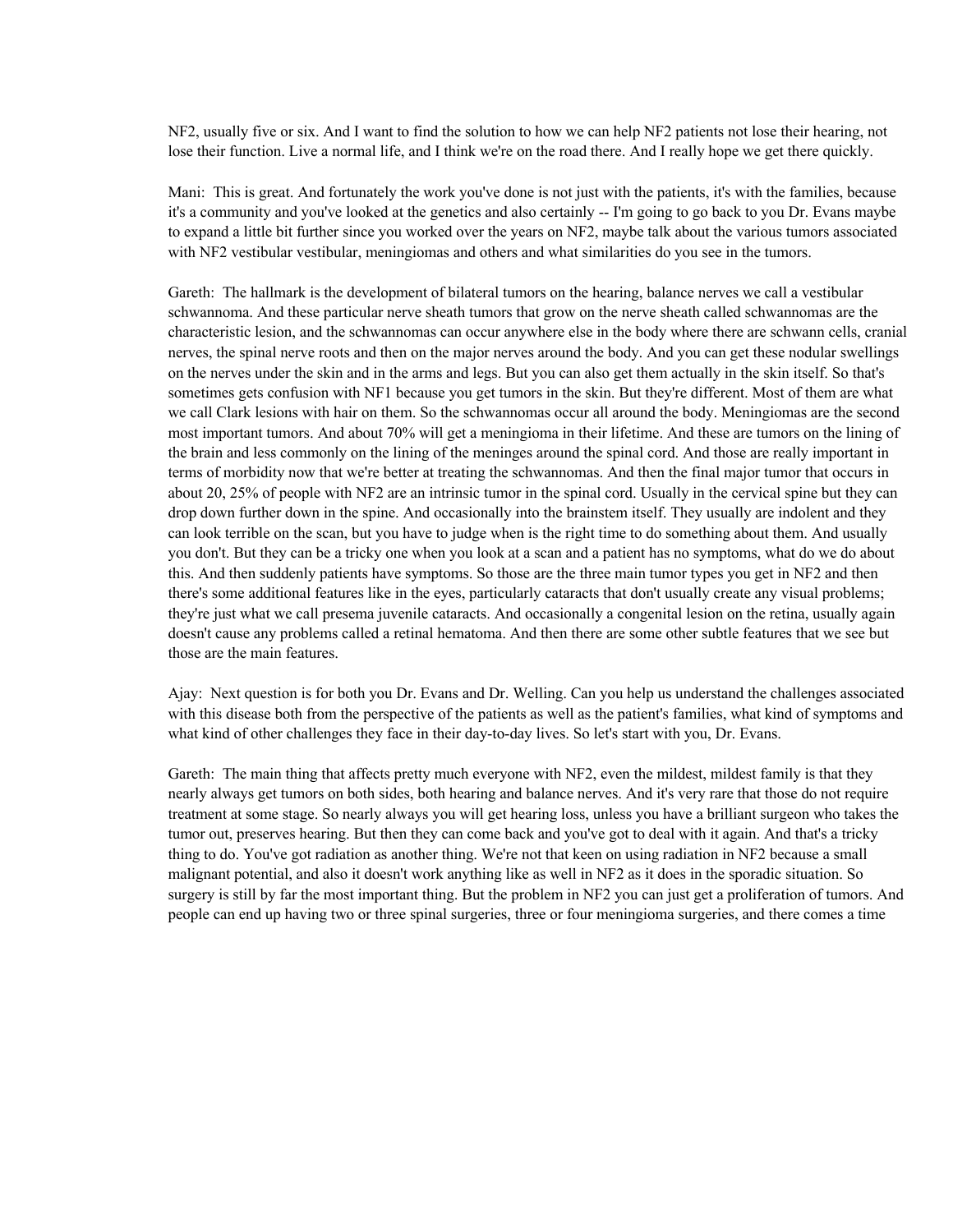NF2, usually five or six. And I want to find the solution to how we can help NF2 patients not lose their hearing, not lose their function. Live a normal life, and I think we're on the road there. And I really hope we get there quickly.

Mani: This is great. And fortunately the work you've done is not just with the patients, it's with the families, because it's a community and you've looked at the genetics and also certainly -- I'm going to go back to you Dr. Evans maybe to expand a little bit further since you worked over the years on NF2, maybe talk about the various tumors associated with NF2 vestibular vestibular, meningiomas and others and what similarities do you see in the tumors.

Gareth: The hallmark is the development of bilateral tumors on the hearing, balance nerves we call a vestibular schwannoma. And these particular nerve sheath tumors that grow on the nerve sheath called schwannomas are the characteristic lesion, and the schwannomas can occur anywhere else in the body where there are schwann cells, cranial nerves, the spinal nerve roots and then on the major nerves around the body. And you can get these nodular swellings on the nerves under the skin and in the arms and legs. But you can also get them actually in the skin itself. So that's sometimes gets confusion with NF1 because you get tumors in the skin. But they're different. Most of them are what we call Clark lesions with hair on them. So the schwannomas occur all around the body. Meningiomas are the second most important tumors. And about 70% will get a meningioma in their lifetime. And these are tumors on the lining of the brain and less commonly on the lining of the meninges around the spinal cord. And those are really important in terms of morbidity now that we're better at treating the schwannomas. And then the final major tumor that occurs in about 20, 25% of people with NF2 are an intrinsic tumor in the spinal cord. Usually in the cervical spine but they can drop down further down in the spine. And occasionally into the brainstem itself. They usually are indolent and they can look terrible on the scan, but you have to judge when is the right time to do something about them. And usually you don't. But they can be a tricky one when you look at a scan and a patient has no symptoms, what do we do about this. And then suddenly patients have symptoms. So those are the three main tumor types you get in NF2 and then there's some additional features like in the eyes, particularly cataracts that don't usually create any visual problems; they're just what we call presema juvenile cataracts. And occasionally a congenital lesion on the retina, usually again doesn't cause any problems called a retinal hematoma. And then there are some other subtle features that we see but those are the main features.

Ajay: Next question is for both you Dr. Evans and Dr. Welling. Can you help us understand the challenges associated with this disease both from the perspective of the patients as well as the patient's families, what kind of symptoms and what kind of other challenges they face in their day-to-day lives. So let's start with you, Dr. Evans.

Gareth: The main thing that affects pretty much everyone with NF2, even the mildest, mildest family is that they nearly always get tumors on both sides, both hearing and balance nerves. And it's very rare that those do not require treatment at some stage. So nearly always you will get hearing loss, unless you have a brilliant surgeon who takes the tumor out, preserves hearing. But then they can come back and you've got to deal with it again. And that's a tricky thing to do. You've got radiation as another thing. We're not that keen on using radiation in NF2 because a small malignant potential, and also it doesn't work anything like as well in NF2 as it does in the sporadic situation. So surgery is still by far the most important thing. But the problem in NF2 you can just get a proliferation of tumors. And people can end up having two or three spinal surgeries, three or four meningioma surgeries, and there comes a time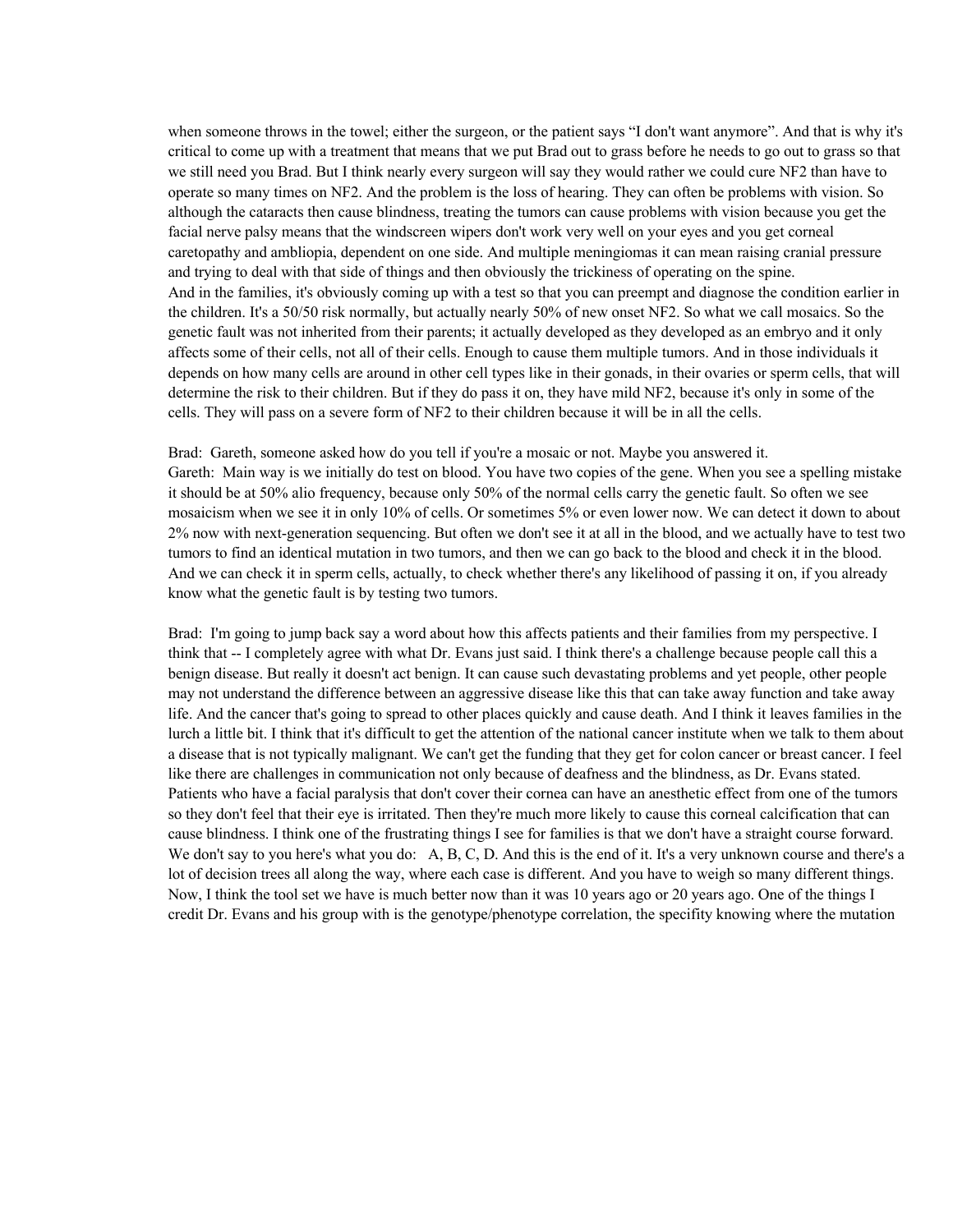when someone throws in the towel; either the surgeon, or the patient says "I don't want anymore". And that is why it's critical to come up with a treatment that means that we put Brad out to grass before he needs to go out to grass so that we still need you Brad. But I think nearly every surgeon will say they would rather we could cure NF2 than have to operate so many times on NF2. And the problem is the loss of hearing. They can often be problems with vision. So although the cataracts then cause blindness, treating the tumors can cause problems with vision because you get the facial nerve palsy means that the windscreen wipers don't work very well on your eyes and you get corneal caretopathy and ambliopia, dependent on one side. And multiple meningiomas it can mean raising cranial pressure and trying to deal with that side of things and then obviously the trickiness of operating on the spine. And in the families, it's obviously coming up with a test so that you can preempt and diagnose the condition earlier in the children. It's a 50/50 risk normally, but actually nearly 50% of new onset NF2. So what we call mosaics. So the genetic fault was not inherited from their parents; it actually developed as they developed as an embryo and it only affects some of their cells, not all of their cells. Enough to cause them multiple tumors. And in those individuals it depends on how many cells are around in other cell types like in their gonads, in their ovaries or sperm cells, that will determine the risk to their children. But if they do pass it on, they have mild NF2, because it's only in some of the cells. They will pass on a severe form of NF2 to their children because it will be in all the cells.

Brad: Gareth, someone asked how do you tell if you're a mosaic or not. Maybe you answered it. Gareth: Main way is we initially do test on blood. You have two copies of the gene. When you see a spelling mistake it should be at 50% alio frequency, because only 50% of the normal cells carry the genetic fault. So often we see mosaicism when we see it in only 10% of cells. Or sometimes 5% or even lower now. We can detect it down to about 2% now with next-generation sequencing. But often we don't see it at all in the blood, and we actually have to test two tumors to find an identical mutation in two tumors, and then we can go back to the blood and check it in the blood. And we can check it in sperm cells, actually, to check whether there's any likelihood of passing it on, if you already know what the genetic fault is by testing two tumors.

Brad: I'm going to jump back say a word about how this affects patients and their families from my perspective. I think that -- I completely agree with what Dr. Evans just said. I think there's a challenge because people call this a benign disease. But really it doesn't act benign. It can cause such devastating problems and yet people, other people may not understand the difference between an aggressive disease like this that can take away function and take away life. And the cancer that's going to spread to other places quickly and cause death. And I think it leaves families in the lurch a little bit. I think that it's difficult to get the attention of the national cancer institute when we talk to them about a disease that is not typically malignant. We can't get the funding that they get for colon cancer or breast cancer. I feel like there are challenges in communication not only because of deafness and the blindness, as Dr. Evans stated. Patients who have a facial paralysis that don't cover their cornea can have an anesthetic effect from one of the tumors so they don't feel that their eye is irritated. Then they're much more likely to cause this corneal calcification that can cause blindness. I think one of the frustrating things I see for families is that we don't have a straight course forward. We don't say to you here's what you do: A, B, C, D. And this is the end of it. It's a very unknown course and there's a lot of decision trees all along the way, where each case is different. And you have to weigh so many different things. Now, I think the tool set we have is much better now than it was 10 years ago or 20 years ago. One of the things I credit Dr. Evans and his group with is the genotype/phenotype correlation, the specifity knowing where the mutation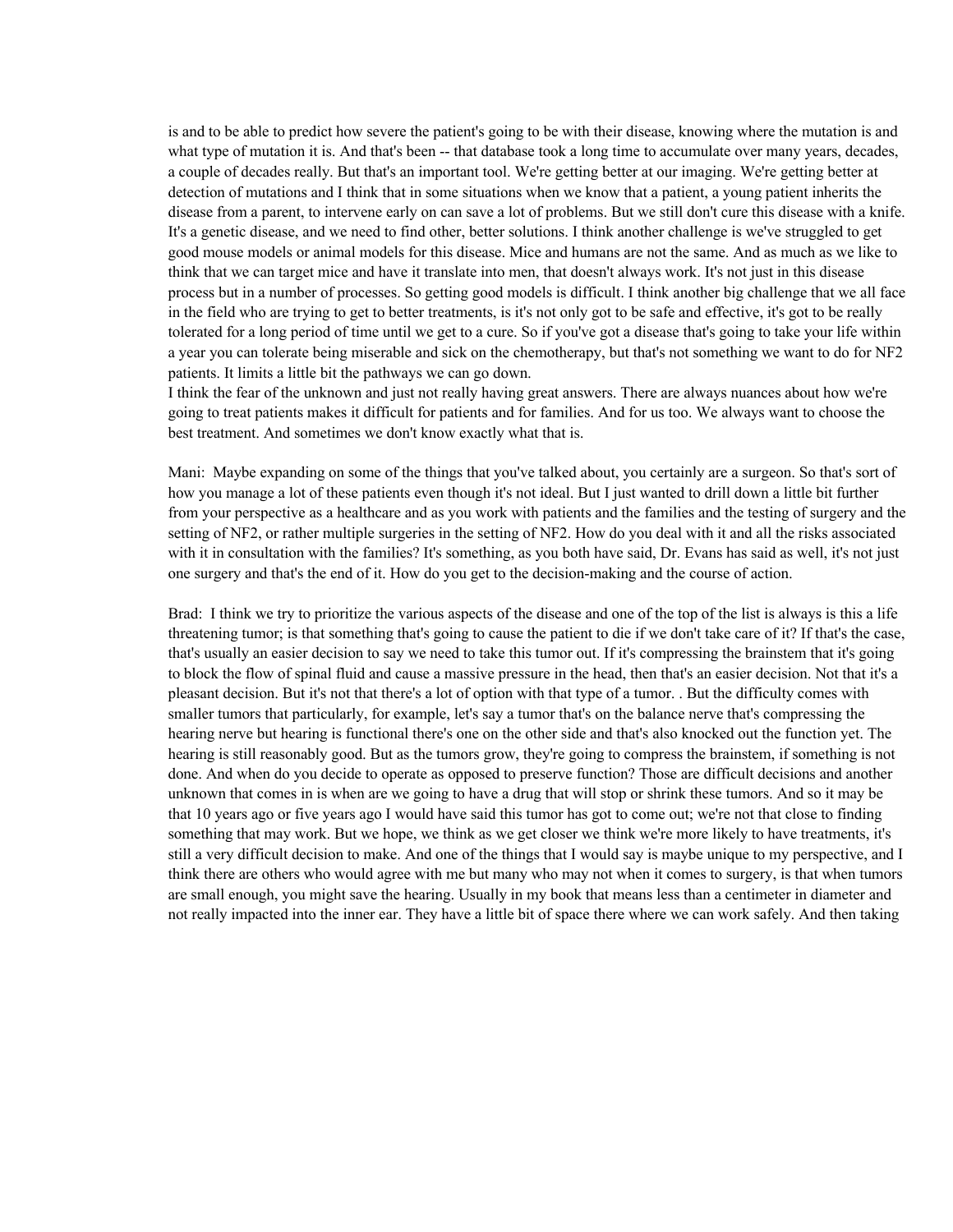is and to be able to predict how severe the patient's going to be with their disease, knowing where the mutation is and what type of mutation it is. And that's been -- that database took a long time to accumulate over many years, decades, a couple of decades really. But that's an important tool. We're getting better at our imaging. We're getting better at detection of mutations and I think that in some situations when we know that a patient, a young patient inherits the disease from a parent, to intervene early on can save a lot of problems. But we still don't cure this disease with a knife. It's a genetic disease, and we need to find other, better solutions. I think another challenge is we've struggled to get good mouse models or animal models for this disease. Mice and humans are not the same. And as much as we like to think that we can target mice and have it translate into men, that doesn't always work. It's not just in this disease process but in a number of processes. So getting good models is difficult. I think another big challenge that we all face in the field who are trying to get to better treatments, is it's not only got to be safe and effective, it's got to be really tolerated for a long period of time until we get to a cure. So if you've got a disease that's going to take your life within a year you can tolerate being miserable and sick on the chemotherapy, but that's not something we want to do for NF2 patients. It limits a little bit the pathways we can go down.

I think the fear of the unknown and just not really having great answers. There are always nuances about how we're going to treat patients makes it difficult for patients and for families. And for us too. We always want to choose the best treatment. And sometimes we don't know exactly what that is.

Mani: Maybe expanding on some of the things that you've talked about, you certainly are a surgeon. So that's sort of how you manage a lot of these patients even though it's not ideal. But I just wanted to drill down a little bit further from your perspective as a healthcare and as you work with patients and the families and the testing of surgery and the setting of NF2, or rather multiple surgeries in the setting of NF2. How do you deal with it and all the risks associated with it in consultation with the families? It's something, as you both have said, Dr. Evans has said as well, it's not just one surgery and that's the end of it. How do you get to the decision-making and the course of action.

Brad: I think we try to prioritize the various aspects of the disease and one of the top of the list is always is this a life threatening tumor; is that something that's going to cause the patient to die if we don't take care of it? If that's the case, that's usually an easier decision to say we need to take this tumor out. If it's compressing the brainstem that it's going to block the flow of spinal fluid and cause a massive pressure in the head, then that's an easier decision. Not that it's a pleasant decision. But it's not that there's a lot of option with that type of a tumor. . But the difficulty comes with smaller tumors that particularly, for example, let's say a tumor that's on the balance nerve that's compressing the hearing nerve but hearing is functional there's one on the other side and that's also knocked out the function yet. The hearing is still reasonably good. But as the tumors grow, they're going to compress the brainstem, if something is not done. And when do you decide to operate as opposed to preserve function? Those are difficult decisions and another unknown that comes in is when are we going to have a drug that will stop or shrink these tumors. And so it may be that 10 years ago or five years ago I would have said this tumor has got to come out; we're not that close to finding something that may work. But we hope, we think as we get closer we think we're more likely to have treatments, it's still a very difficult decision to make. And one of the things that I would say is maybe unique to my perspective, and I think there are others who would agree with me but many who may not when it comes to surgery, is that when tumors are small enough, you might save the hearing. Usually in my book that means less than a centimeter in diameter and not really impacted into the inner ear. They have a little bit of space there where we can work safely. And then taking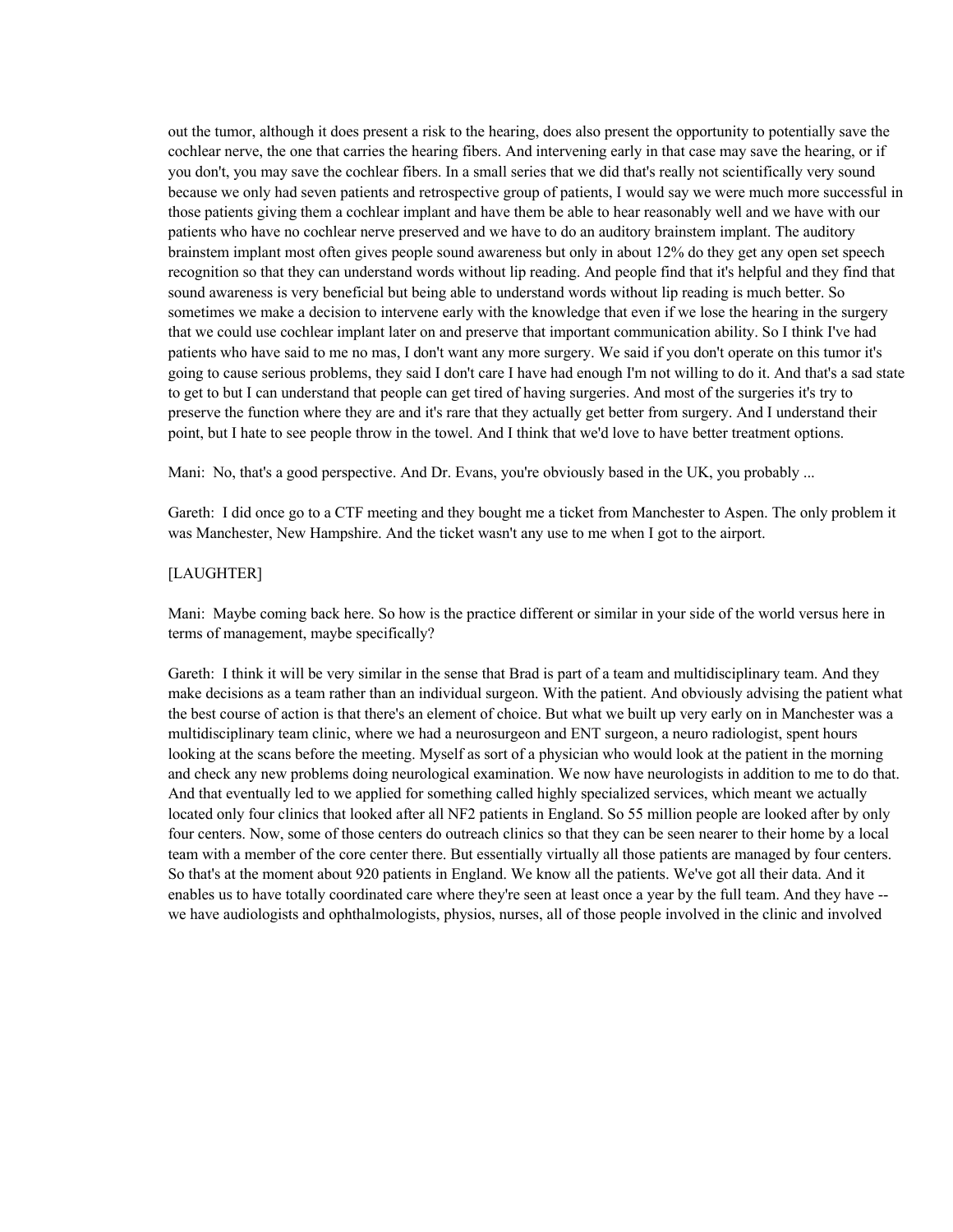out the tumor, although it does present a risk to the hearing, does also present the opportunity to potentially save the cochlear nerve, the one that carries the hearing fibers. And intervening early in that case may save the hearing, or if you don't, you may save the cochlear fibers. In a small series that we did that's really not scientifically very sound because we only had seven patients and retrospective group of patients, I would say we were much more successful in those patients giving them a cochlear implant and have them be able to hear reasonably well and we have with our patients who have no cochlear nerve preserved and we have to do an auditory brainstem implant. The auditory brainstem implant most often gives people sound awareness but only in about 12% do they get any open set speech recognition so that they can understand words without lip reading. And people find that it's helpful and they find that sound awareness is very beneficial but being able to understand words without lip reading is much better. So sometimes we make a decision to intervene early with the knowledge that even if we lose the hearing in the surgery that we could use cochlear implant later on and preserve that important communication ability. So I think I've had patients who have said to me no mas, I don't want any more surgery. We said if you don't operate on this tumor it's going to cause serious problems, they said I don't care I have had enough I'm not willing to do it. And that's a sad state to get to but I can understand that people can get tired of having surgeries. And most of the surgeries it's try to preserve the function where they are and it's rare that they actually get better from surgery. And I understand their point, but I hate to see people throw in the towel. And I think that we'd love to have better treatment options.

Mani: No, that's a good perspective. And Dr. Evans, you're obviously based in the UK, you probably ...

Gareth: I did once go to a CTF meeting and they bought me a ticket from Manchester to Aspen. The only problem it was Manchester, New Hampshire. And the ticket wasn't any use to me when I got to the airport.

## [LAUGHTER]

Mani: Maybe coming back here. So how is the practice different or similar in your side of the world versus here in terms of management, maybe specifically?

Gareth: I think it will be very similar in the sense that Brad is part of a team and multidisciplinary team. And they make decisions as a team rather than an individual surgeon. With the patient. And obviously advising the patient what the best course of action is that there's an element of choice. But what we built up very early on in Manchester was a multidisciplinary team clinic, where we had a neurosurgeon and ENT surgeon, a neuro radiologist, spent hours looking at the scans before the meeting. Myself as sort of a physician who would look at the patient in the morning and check any new problems doing neurological examination. We now have neurologists in addition to me to do that. And that eventually led to we applied for something called highly specialized services, which meant we actually located only four clinics that looked after all NF2 patients in England. So 55 million people are looked after by only four centers. Now, some of those centers do outreach clinics so that they can be seen nearer to their home by a local team with a member of the core center there. But essentially virtually all those patients are managed by four centers. So that's at the moment about 920 patients in England. We know all the patients. We've got all their data. And it enables us to have totally coordinated care where they're seen at least once a year by the full team. And they have - we have audiologists and ophthalmologists, physios, nurses, all of those people involved in the clinic and involved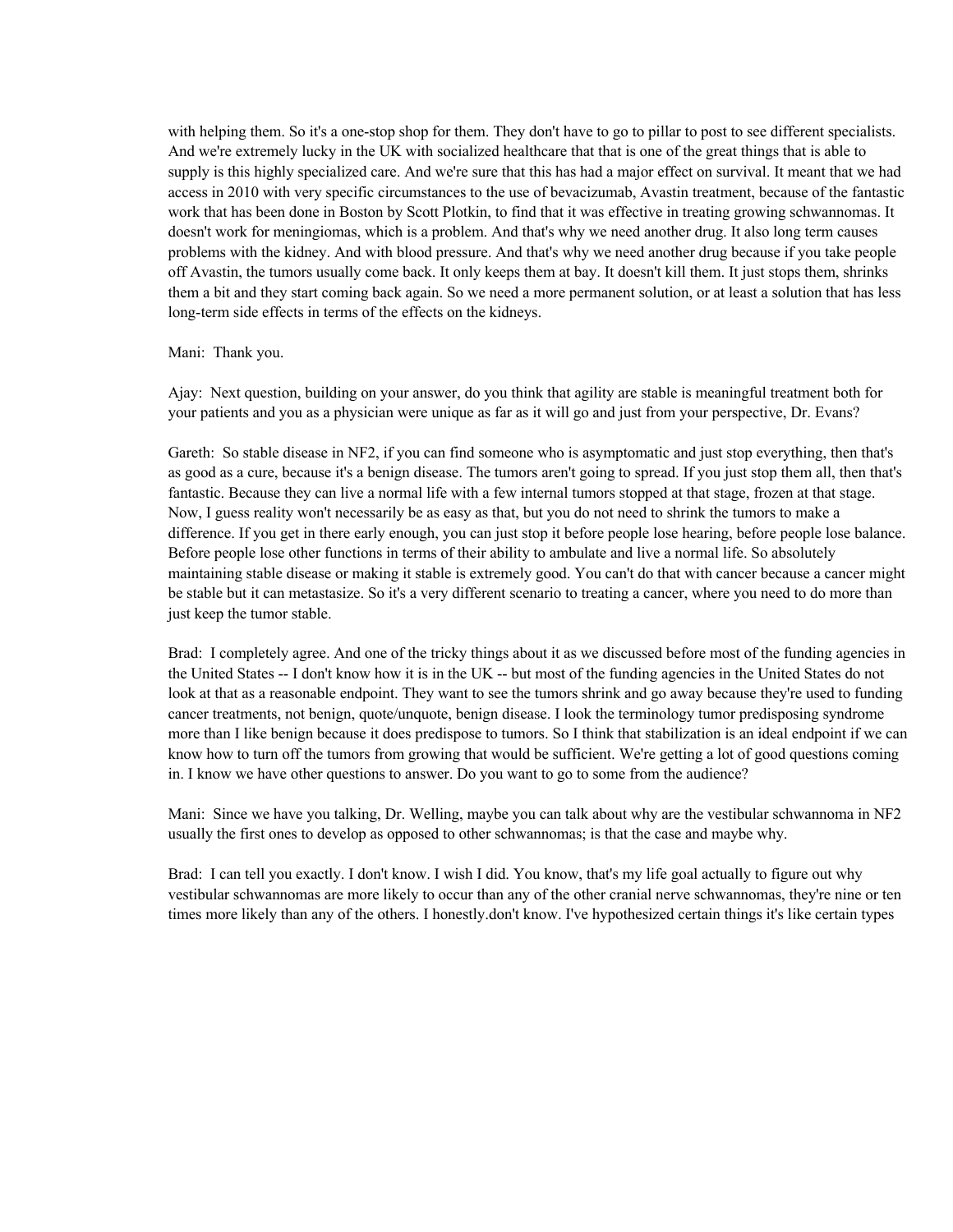with helping them. So it's a one-stop shop for them. They don't have to go to pillar to post to see different specialists. And we're extremely lucky in the UK with socialized healthcare that that is one of the great things that is able to supply is this highly specialized care. And we're sure that this has had a major effect on survival. It meant that we had access in 2010 with very specific circumstances to the use of bevacizumab, Avastin treatment, because of the fantastic work that has been done in Boston by Scott Plotkin, to find that it was effective in treating growing schwannomas. It doesn't work for meningiomas, which is a problem. And that's why we need another drug. It also long term causes problems with the kidney. And with blood pressure. And that's why we need another drug because if you take people off Avastin, the tumors usually come back. It only keeps them at bay. It doesn't kill them. It just stops them, shrinks them a bit and they start coming back again. So we need a more permanent solution, or at least a solution that has less long-term side effects in terms of the effects on the kidneys.

## Mani: Thank you.

Ajay: Next question, building on your answer, do you think that agility are stable is meaningful treatment both for your patients and you as a physician were unique as far as it will go and just from your perspective, Dr. Evans?

Gareth: So stable disease in NF2, if you can find someone who is asymptomatic and just stop everything, then that's as good as a cure, because it's a benign disease. The tumors aren't going to spread. If you just stop them all, then that's fantastic. Because they can live a normal life with a few internal tumors stopped at that stage, frozen at that stage. Now, I guess reality won't necessarily be as easy as that, but you do not need to shrink the tumors to make a difference. If you get in there early enough, you can just stop it before people lose hearing, before people lose balance. Before people lose other functions in terms of their ability to ambulate and live a normal life. So absolutely maintaining stable disease or making it stable is extremely good. You can't do that with cancer because a cancer might be stable but it can metastasize. So it's a very different scenario to treating a cancer, where you need to do more than just keep the tumor stable.

Brad: I completely agree. And one of the tricky things about it as we discussed before most of the funding agencies in the United States -- I don't know how it is in the UK -- but most of the funding agencies in the United States do not look at that as a reasonable endpoint. They want to see the tumors shrink and go away because they're used to funding cancer treatments, not benign, quote/unquote, benign disease. I look the terminology tumor predisposing syndrome more than I like benign because it does predispose to tumors. So I think that stabilization is an ideal endpoint if we can know how to turn off the tumors from growing that would be sufficient. We're getting a lot of good questions coming in. I know we have other questions to answer. Do you want to go to some from the audience?

Mani: Since we have you talking, Dr. Welling, maybe you can talk about why are the vestibular schwannoma in NF2 usually the first ones to develop as opposed to other schwannomas; is that the case and maybe why.

Brad: I can tell you exactly. I don't know. I wish I did. You know, that's my life goal actually to figure out why vestibular schwannomas are more likely to occur than any of the other cranial nerve schwannomas, they're nine or ten times more likely than any of the others. I honestly.don't know. I've hypothesized certain things it's like certain types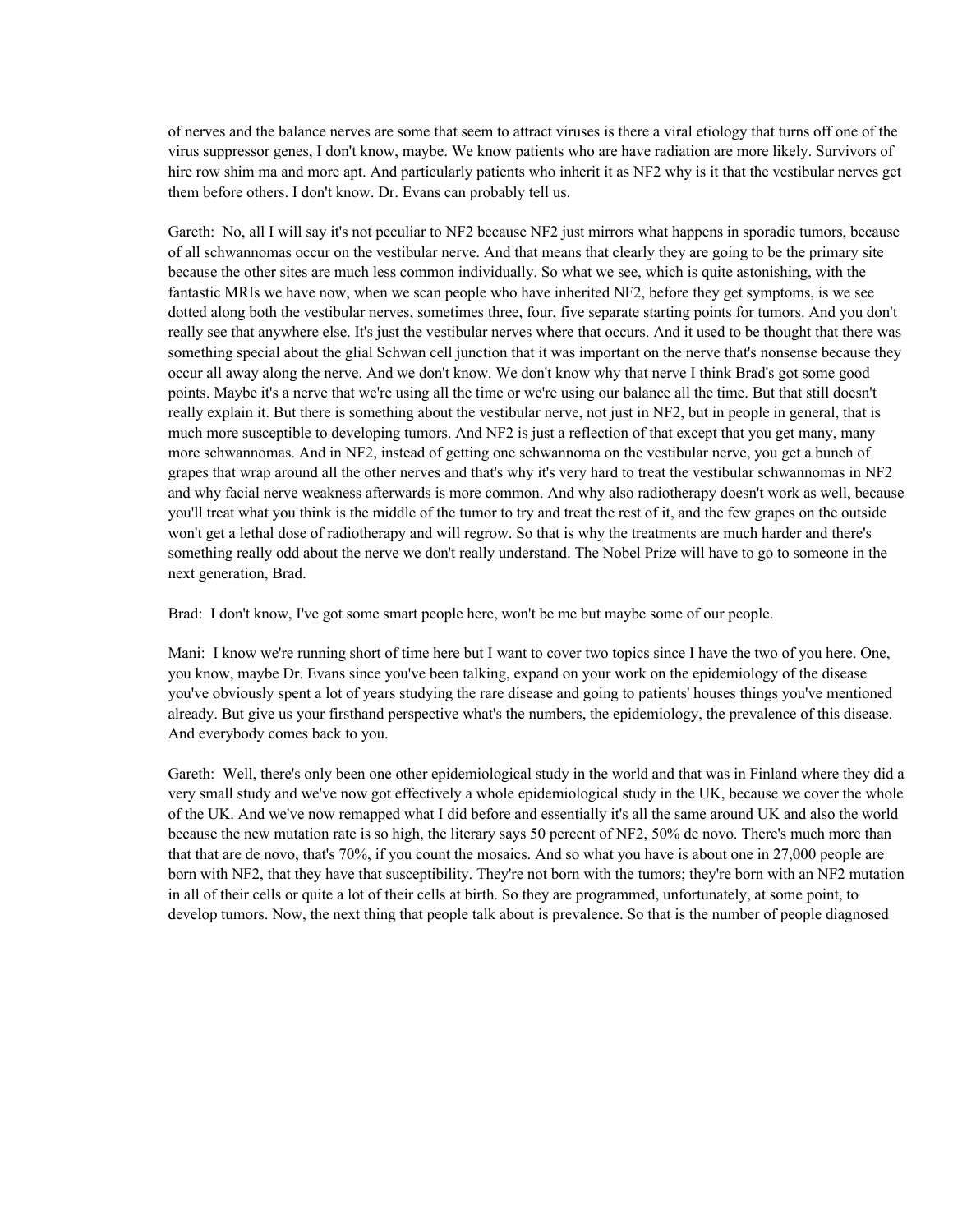of nerves and the balance nerves are some that seem to attract viruses is there a viral etiology that turns off one of the virus suppressor genes, I don't know, maybe. We know patients who are have radiation are more likely. Survivors of hire row shim ma and more apt. And particularly patients who inherit it as NF2 why is it that the vestibular nerves get them before others. I don't know. Dr. Evans can probably tell us.

Gareth: No, all I will say it's not peculiar to NF2 because NF2 just mirrors what happens in sporadic tumors, because of all schwannomas occur on the vestibular nerve. And that means that clearly they are going to be the primary site because the other sites are much less common individually. So what we see, which is quite astonishing, with the fantastic MRIs we have now, when we scan people who have inherited NF2, before they get symptoms, is we see dotted along both the vestibular nerves, sometimes three, four, five separate starting points for tumors. And you don't really see that anywhere else. It's just the vestibular nerves where that occurs. And it used to be thought that there was something special about the glial Schwan cell junction that it was important on the nerve that's nonsense because they occur all away along the nerve. And we don't know. We don't know why that nerve I think Brad's got some good points. Maybe it's a nerve that we're using all the time or we're using our balance all the time. But that still doesn't really explain it. But there is something about the vestibular nerve, not just in NF2, but in people in general, that is much more susceptible to developing tumors. And NF2 is just a reflection of that except that you get many, many more schwannomas. And in NF2, instead of getting one schwannoma on the vestibular nerve, you get a bunch of grapes that wrap around all the other nerves and that's why it's very hard to treat the vestibular schwannomas in NF2 and why facial nerve weakness afterwards is more common. And why also radiotherapy doesn't work as well, because you'll treat what you think is the middle of the tumor to try and treat the rest of it, and the few grapes on the outside won't get a lethal dose of radiotherapy and will regrow. So that is why the treatments are much harder and there's something really odd about the nerve we don't really understand. The Nobel Prize will have to go to someone in the next generation, Brad.

Brad: I don't know, I've got some smart people here, won't be me but maybe some of our people.

Mani: I know we're running short of time here but I want to cover two topics since I have the two of you here. One, you know, maybe Dr. Evans since you've been talking, expand on your work on the epidemiology of the disease you've obviously spent a lot of years studying the rare disease and going to patients' houses things you've mentioned already. But give us your firsthand perspective what's the numbers, the epidemiology, the prevalence of this disease. And everybody comes back to you.

Gareth: Well, there's only been one other epidemiological study in the world and that was in Finland where they did a very small study and we've now got effectively a whole epidemiological study in the UK, because we cover the whole of the UK. And we've now remapped what I did before and essentially it's all the same around UK and also the world because the new mutation rate is so high, the literary says 50 percent of NF2, 50% de novo. There's much more than that that are de novo, that's 70%, if you count the mosaics. And so what you have is about one in 27,000 people are born with NF2, that they have that susceptibility. They're not born with the tumors; they're born with an NF2 mutation in all of their cells or quite a lot of their cells at birth. So they are programmed, unfortunately, at some point, to develop tumors. Now, the next thing that people talk about is prevalence. So that is the number of people diagnosed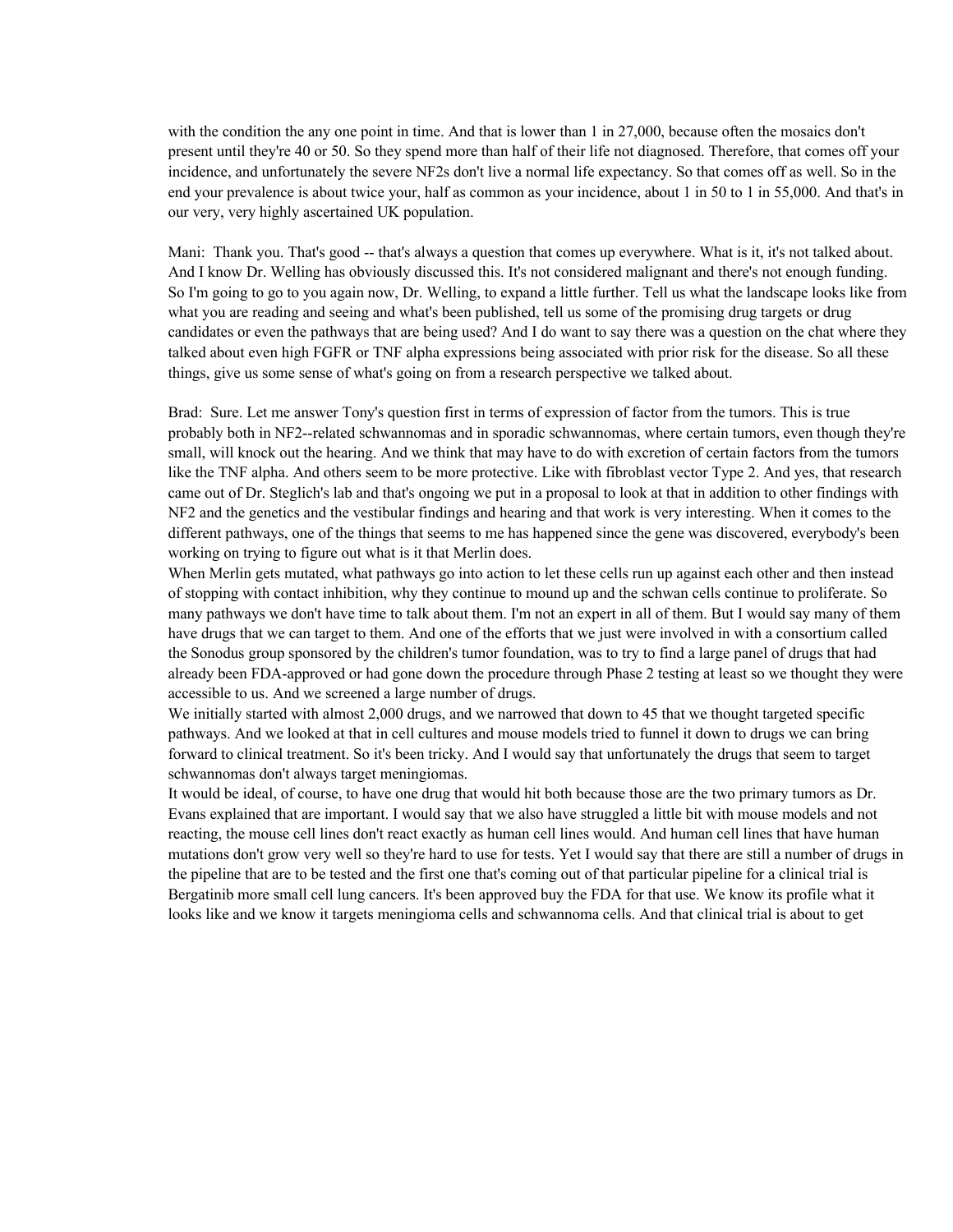with the condition the any one point in time. And that is lower than 1 in 27,000, because often the mosaics don't present until they're 40 or 50. So they spend more than half of their life not diagnosed. Therefore, that comes off your incidence, and unfortunately the severe NF2s don't live a normal life expectancy. So that comes off as well. So in the end your prevalence is about twice your, half as common as your incidence, about 1 in 50 to 1 in 55,000. And that's in our very, very highly ascertained UK population.

Mani: Thank you. That's good -- that's always a question that comes up everywhere. What is it, it's not talked about. And I know Dr. Welling has obviously discussed this. It's not considered malignant and there's not enough funding. So I'm going to go to you again now, Dr. Welling, to expand a little further. Tell us what the landscape looks like from what you are reading and seeing and what's been published, tell us some of the promising drug targets or drug candidates or even the pathways that are being used? And I do want to say there was a question on the chat where they talked about even high FGFR or TNF alpha expressions being associated with prior risk for the disease. So all these things, give us some sense of what's going on from a research perspective we talked about.

Brad: Sure. Let me answer Tony's question first in terms of expression of factor from the tumors. This is true probably both in NF2--related schwannomas and in sporadic schwannomas, where certain tumors, even though they're small, will knock out the hearing. And we think that may have to do with excretion of certain factors from the tumors like the TNF alpha. And others seem to be more protective. Like with fibroblast vector Type 2. And yes, that research came out of Dr. Steglich's lab and that's ongoing we put in a proposal to look at that in addition to other findings with NF2 and the genetics and the vestibular findings and hearing and that work is very interesting. When it comes to the different pathways, one of the things that seems to me has happened since the gene was discovered, everybody's been working on trying to figure out what is it that Merlin does.

When Merlin gets mutated, what pathways go into action to let these cells run up against each other and then instead of stopping with contact inhibition, why they continue to mound up and the schwan cells continue to proliferate. So many pathways we don't have time to talk about them. I'm not an expert in all of them. But I would say many of them have drugs that we can target to them. And one of the efforts that we just were involved in with a consortium called the Sonodus group sponsored by the children's tumor foundation, was to try to find a large panel of drugs that had already been FDA-approved or had gone down the procedure through Phase 2 testing at least so we thought they were accessible to us. And we screened a large number of drugs.

We initially started with almost 2,000 drugs, and we narrowed that down to 45 that we thought targeted specific pathways. And we looked at that in cell cultures and mouse models tried to funnel it down to drugs we can bring forward to clinical treatment. So it's been tricky. And I would say that unfortunately the drugs that seem to target schwannomas don't always target meningiomas.

It would be ideal, of course, to have one drug that would hit both because those are the two primary tumors as Dr. Evans explained that are important. I would say that we also have struggled a little bit with mouse models and not reacting, the mouse cell lines don't react exactly as human cell lines would. And human cell lines that have human mutations don't grow very well so they're hard to use for tests. Yet I would say that there are still a number of drugs in the pipeline that are to be tested and the first one that's coming out of that particular pipeline for a clinical trial is Bergatinib more small cell lung cancers. It's been approved buy the FDA for that use. We know its profile what it looks like and we know it targets meningioma cells and schwannoma cells. And that clinical trial is about to get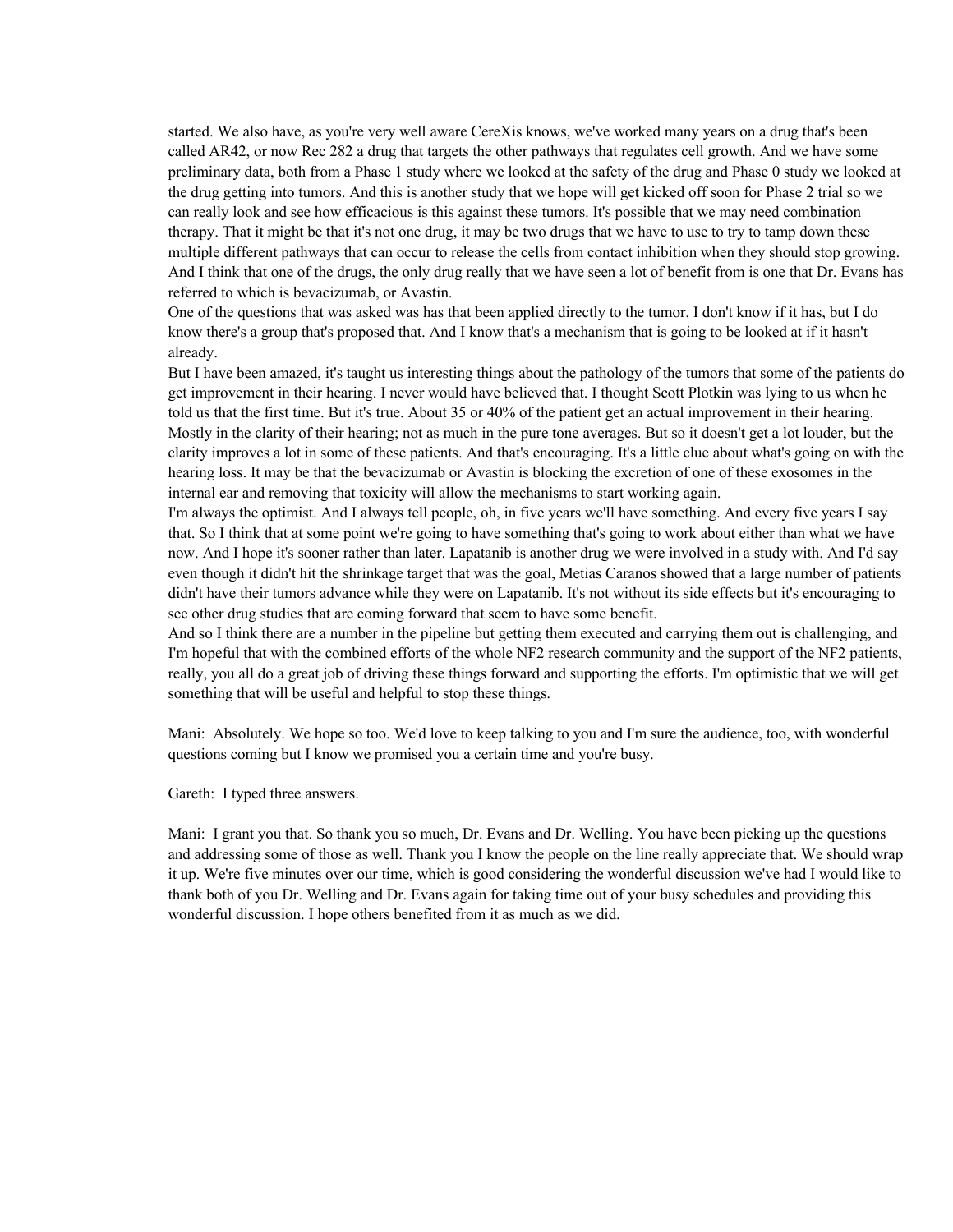started. We also have, as you're very well aware CereXis knows, we've worked many years on a drug that's been called AR42, or now Rec 282 a drug that targets the other pathways that regulates cell growth. And we have some preliminary data, both from a Phase 1 study where we looked at the safety of the drug and Phase 0 study we looked at the drug getting into tumors. And this is another study that we hope will get kicked off soon for Phase 2 trial so we can really look and see how efficacious is this against these tumors. It's possible that we may need combination therapy. That it might be that it's not one drug, it may be two drugs that we have to use to try to tamp down these multiple different pathways that can occur to release the cells from contact inhibition when they should stop growing. And I think that one of the drugs, the only drug really that we have seen a lot of benefit from is one that Dr. Evans has referred to which is bevacizumab, or Avastin.

One of the questions that was asked was has that been applied directly to the tumor. I don't know if it has, but I do know there's a group that's proposed that. And I know that's a mechanism that is going to be looked at if it hasn't already.

But I have been amazed, it's taught us interesting things about the pathology of the tumors that some of the patients do get improvement in their hearing. I never would have believed that. I thought Scott Plotkin was lying to us when he told us that the first time. But it's true. About 35 or 40% of the patient get an actual improvement in their hearing. Mostly in the clarity of their hearing; not as much in the pure tone averages. But so it doesn't get a lot louder, but the clarity improves a lot in some of these patients. And that's encouraging. It's a little clue about what's going on with the hearing loss. It may be that the bevacizumab or Avastin is blocking the excretion of one of these exosomes in the internal ear and removing that toxicity will allow the mechanisms to start working again.

I'm always the optimist. And I always tell people, oh, in five years we'll have something. And every five years I say that. So I think that at some point we're going to have something that's going to work about either than what we have now. And I hope it's sooner rather than later. Lapatanib is another drug we were involved in a study with. And I'd say even though it didn't hit the shrinkage target that was the goal, Metias Caranos showed that a large number of patients didn't have their tumors advance while they were on Lapatanib. It's not without its side effects but it's encouraging to see other drug studies that are coming forward that seem to have some benefit.

And so I think there are a number in the pipeline but getting them executed and carrying them out is challenging, and I'm hopeful that with the combined efforts of the whole NF2 research community and the support of the NF2 patients, really, you all do a great job of driving these things forward and supporting the efforts. I'm optimistic that we will get something that will be useful and helpful to stop these things.

Mani: Absolutely. We hope so too. We'd love to keep talking to you and I'm sure the audience, too, with wonderful questions coming but I know we promised you a certain time and you're busy.

Gareth: I typed three answers.

Mani: I grant you that. So thank you so much, Dr. Evans and Dr. Welling. You have been picking up the questions and addressing some of those as well. Thank you I know the people on the line really appreciate that. We should wrap it up. We're five minutes over our time, which is good considering the wonderful discussion we've had I would like to thank both of you Dr. Welling and Dr. Evans again for taking time out of your busy schedules and providing this wonderful discussion. I hope others benefited from it as much as we did.